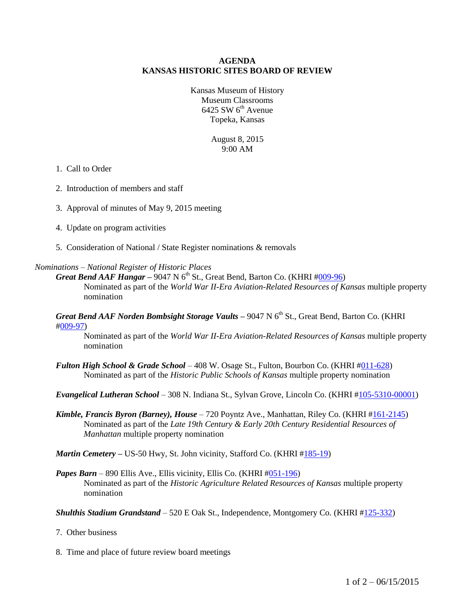#### **AGENDA KANSAS HISTORIC SITES BOARD OF REVIEW**

Kansas Museum of History Museum Classrooms  $6425$  SW  $6<sup>th</sup>$  Avenue Topeka, Kansas

> August 8, 2015 9:00 AM

#### 1. Call to Order

- 2. Introduction of members and staff
- 3. Approval of minutes of May 9, 2015 meeting
- 4. Update on program activities
- 5. Consideration of National / State Register nominations & removals

#### *Nominations – National Register of Historic Places*

*Great Bend AAF Hangar* – 9047 N  $6<sup>th</sup>$  St., Great Bend, Barton Co. (KHRI  $\#009-96$ ) Nominated as part of the *World War II-Era Aviation-Related Resources of Kansas* multiple property nomination

*Great Bend AAF Norden Bombsight Storage Vaults – 9047 N 6<sup>th</sup> St., Great Bend, Barton Co. (KHRI* [#009-97\)](http://khri.kansasgis.org/index.cfm?in=009-97)

Nominated as part of the *World War II-Era Aviation-Related Resources of Kansas* multiple property nomination

*Fulton High School & Grade School* – 408 W. Osage St., Fulton, Bourbon Co. (KHRI [#011-628\)](http://khri.kansasgis.org/index.cfm?in=011-628) Nominated as part of the *Historic Public Schools of Kansas* multiple property nomination

*Evangelical Lutheran School* – 308 N. Indiana St., Sylvan Grove, Lincoln Co. (KHRI [#105-5310-00001\)](http://khri.kansasgis.org/index.cfm?in=105-5310-00001)

*Kimble, Francis Byron (Barney), House* – 720 Poyntz Ave., Manhattan, Riley Co. (KHRI [#161-2145\)](http://khri.kansasgis.org/index.cfm?in=161-2145) Nominated as part of the *Late 19th Century & Early 20th Century Residential Resources of Manhattan* multiple property nomination

*Martin Cemetery* – US-50 Hwy, St. John vicinity, Stafford Co. (KHRI [#185-19\)](http://khri.kansasgis.org/index.cfm?in=185-19)

*Papes Barn* – 890 Ellis Ave., Ellis vicinity, Ellis Co. (KHRI [#051-196\)](http://khri.kansasgis.org/index.cfm?in=051-196) Nominated as part of the *Historic Agriculture Related Resources of Kansas* multiple property nomination

*Shulthis Stadium Grandstand* – 520 E Oak St., Independence, Montgomery Co. (KHRI [#125-332\)](http://khri.kansasgis.org/index.cfm?in=125-332)

- 7. Other business
- 8. Time and place of future review board meetings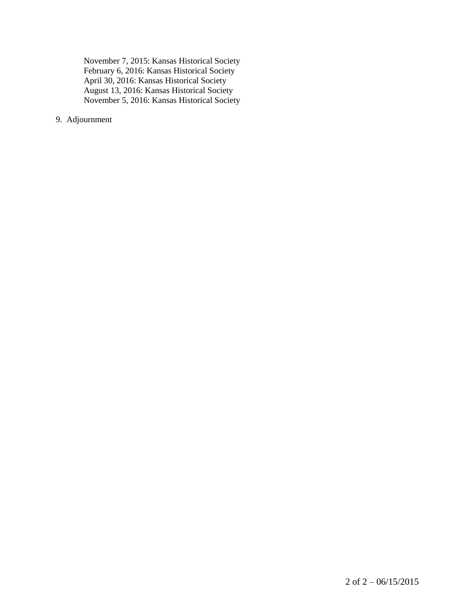November 7, 2015: Kansas Historical Society February 6, 2016: Kansas Historical Society April 30, 2016: Kansas Historical Society August 13, 2016: Kansas Historical Society November 5, 2016: Kansas Historical Society

9. Adjournment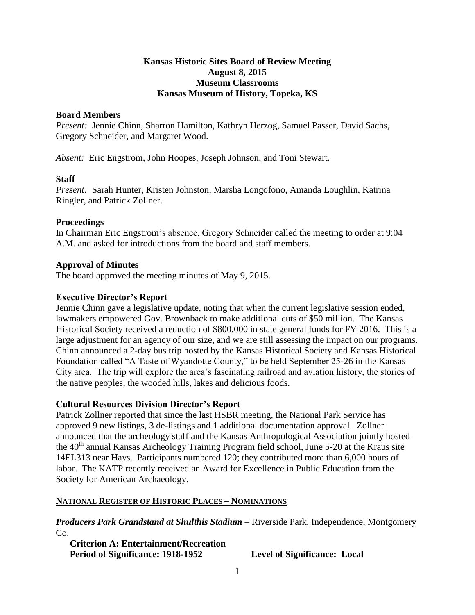# **Kansas Historic Sites Board of Review Meeting August 8, 2015 Museum Classrooms Kansas Museum of History, Topeka, KS**

#### **Board Members**

*Present:* Jennie Chinn, Sharron Hamilton, Kathryn Herzog, Samuel Passer, David Sachs, Gregory Schneider, and Margaret Wood.

*Absent:* Eric Engstrom, John Hoopes, Joseph Johnson, and Toni Stewart.

# **Staff**

*Present:* Sarah Hunter, Kristen Johnston, Marsha Longofono, Amanda Loughlin, Katrina Ringler, and Patrick Zollner.

#### **Proceedings**

In Chairman Eric Engstrom's absence, Gregory Schneider called the meeting to order at 9:04 A.M. and asked for introductions from the board and staff members.

#### **Approval of Minutes**

The board approved the meeting minutes of May 9, 2015.

# **Executive Director's Report**

Jennie Chinn gave a legislative update, noting that when the current legislative session ended, lawmakers empowered Gov. Brownback to make additional cuts of \$50 million. The Kansas Historical Society received a reduction of \$800,000 in state general funds for FY 2016. This is a large adjustment for an agency of our size, and we are still assessing the impact on our programs. Chinn announced a 2-day bus trip hosted by the Kansas Historical Society and Kansas Historical Foundation called "A Taste of Wyandotte County," to be held September 25-26 in the Kansas City area. The trip will explore the area's fascinating railroad and aviation history, the stories of the native peoples, the wooded hills, lakes and delicious foods.

# **Cultural Resources Division Director's Report**

Patrick Zollner reported that since the last HSBR meeting, the National Park Service has approved 9 new listings, 3 de-listings and 1 additional documentation approval. Zollner announced that the archeology staff and the Kansas Anthropological Association jointly hosted the 40<sup>th</sup> annual Kansas Archeology Training Program field school, June 5-20 at the Kraus site 14EL313 near Hays. Participants numbered 120; they contributed more than 6,000 hours of labor. The KATP recently received an Award for Excellence in Public Education from the Society for American Archaeology.

# **NATIONAL REGISTER OF HISTORIC PLACES – NOMINATIONS**

*Producers Park Grandstand at Shulthis Stadium* – Riverside Park, Independence, Montgomery Co.

**Criterion A: Entertainment/Recreation Period of Significance: 1918-1952 Level of Significance: Local**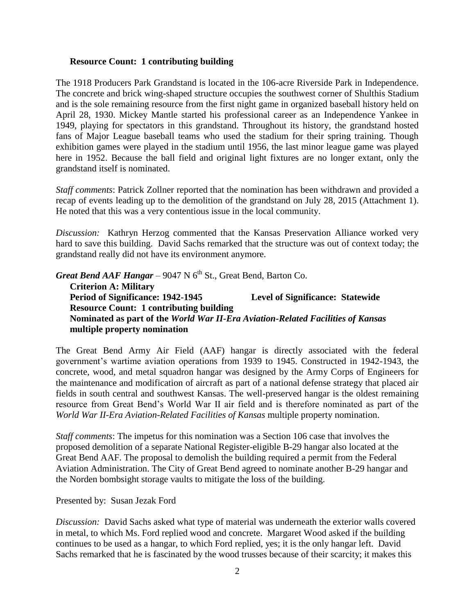#### **Resource Count: 1 contributing building**

The 1918 Producers Park Grandstand is located in the 106-acre Riverside Park in Independence. The concrete and brick wing-shaped structure occupies the southwest corner of Shulthis Stadium and is the sole remaining resource from the first night game in organized baseball history held on April 28, 1930. Mickey Mantle started his professional career as an Independence Yankee in 1949, playing for spectators in this grandstand. Throughout its history, the grandstand hosted fans of Major League baseball teams who used the stadium for their spring training. Though exhibition games were played in the stadium until 1956, the last minor league game was played here in 1952. Because the ball field and original light fixtures are no longer extant, only the grandstand itself is nominated.

*Staff comments*: Patrick Zollner reported that the nomination has been withdrawn and provided a recap of events leading up to the demolition of the grandstand on July 28, 2015 (Attachment 1). He noted that this was a very contentious issue in the local community.

*Discussion:* Kathryn Herzog commented that the Kansas Preservation Alliance worked very hard to save this building. David Sachs remarked that the structure was out of context today; the grandstand really did not have its environment anymore.

*Great Bend AAF Hangar*  $-$  9047 N  $6<sup>th</sup>$  St., Great Bend, Barton Co. **Criterion A: Military Period of Significance: 1942-1945 Level of Significance: Statewide Resource Count: 1 contributing building Nominated as part of the** *World War II-Era Aviation-Related Facilities of Kansas* **multiple property nomination**

The Great Bend Army Air Field (AAF) hangar is directly associated with the federal government's wartime aviation operations from 1939 to 1945. Constructed in 1942-1943, the concrete, wood, and metal squadron hangar was designed by the Army Corps of Engineers for the maintenance and modification of aircraft as part of a national defense strategy that placed air fields in south central and southwest Kansas. The well-preserved hangar is the oldest remaining resource from Great Bend's World War II air field and is therefore nominated as part of the *World War II-Era Aviation-Related Facilities of Kansas* multiple property nomination.

*Staff comments*: The impetus for this nomination was a Section 106 case that involves the proposed demolition of a separate National Register-eligible B-29 hangar also located at the Great Bend AAF. The proposal to demolish the building required a permit from the Federal Aviation Administration. The City of Great Bend agreed to nominate another B-29 hangar and the Norden bombsight storage vaults to mitigate the loss of the building.

Presented by: Susan Jezak Ford

*Discussion:* David Sachs asked what type of material was underneath the exterior walls covered in metal, to which Ms. Ford replied wood and concrete. Margaret Wood asked if the building continues to be used as a hangar, to which Ford replied, yes; it is the only hangar left. David Sachs remarked that he is fascinated by the wood trusses because of their scarcity; it makes this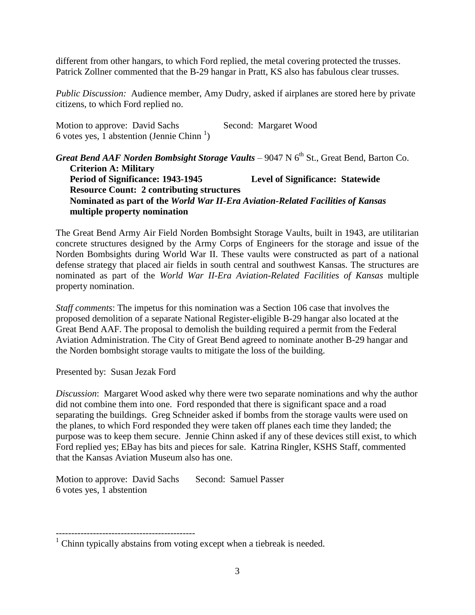different from other hangars, to which Ford replied, the metal covering protected the trusses. Patrick Zollner commented that the B-29 hangar in Pratt, KS also has fabulous clear trusses.

*Public Discussion:* Audience member, Amy Dudry, asked if airplanes are stored here by private citizens, to which Ford replied no.

Motion to approve: David Sachs Second: Margaret Wood 6 votes yes,  $\overline{1}$  abstention (Jennie Chinn<sup>1</sup>)

*Great Bend AAF Norden Bombsight Storage Vaults* – 9047 N 6<sup>th</sup> St., Great Bend, Barton Co. **Criterion A: Military Period of Significance: 1943-1945 Level of Significance: Statewide Resource Count: 2 contributing structures Nominated as part of the** *World War II-Era Aviation-Related Facilities of Kansas* **multiple property nomination**

The Great Bend Army Air Field Norden Bombsight Storage Vaults, built in 1943, are utilitarian concrete structures designed by the Army Corps of Engineers for the storage and issue of the Norden Bombsights during World War II. These vaults were constructed as part of a national defense strategy that placed air fields in south central and southwest Kansas. The structures are nominated as part of the *World War II-Era Aviation-Related Facilities of Kansas* multiple property nomination.

*Staff comments*: The impetus for this nomination was a Section 106 case that involves the proposed demolition of a separate National Register-eligible B-29 hangar also located at the Great Bend AAF. The proposal to demolish the building required a permit from the Federal Aviation Administration. The City of Great Bend agreed to nominate another B-29 hangar and the Norden bombsight storage vaults to mitigate the loss of the building.

Presented by: Susan Jezak Ford

*Discussion*: Margaret Wood asked why there were two separate nominations and why the author did not combine them into one. Ford responded that there is significant space and a road separating the buildings. Greg Schneider asked if bombs from the storage vaults were used on the planes, to which Ford responded they were taken off planes each time they landed; the purpose was to keep them secure. Jennie Chinn asked if any of these devices still exist, to which Ford replied yes; EBay has bits and pieces for sale. Katrina Ringler, KSHS Staff, commented that the Kansas Aviation Museum also has one.

Motion to approve: David Sachs Second: Samuel Passer 6 votes yes, 1 abstention

 $1$  Chinn typically abstains from voting except when a tiebreak is needed.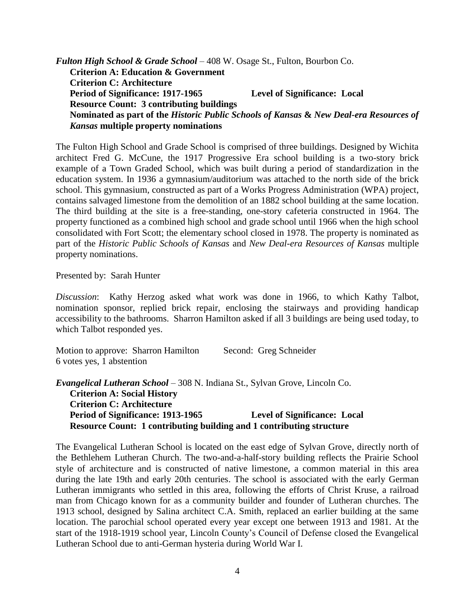*Fulton High School & Grade School* – 408 W. Osage St., Fulton, Bourbon Co. **Criterion A: Education & Government Criterion C: Architecture Period of Significance: 1917-1965 Level of Significance: Local Resource Count: 3 contributing buildings Nominated as part of the** *Historic Public Schools of Kansas* **&** *New Deal-era Resources of Kansas* **multiple property nominations**

The Fulton High School and Grade School is comprised of three buildings. Designed by Wichita architect Fred G. McCune, the 1917 Progressive Era school building is a two-story brick example of a Town Graded School, which was built during a period of standardization in the education system. In 1936 a gymnasium/auditorium was attached to the north side of the brick school. This gymnasium, constructed as part of a Works Progress Administration (WPA) project, contains salvaged limestone from the demolition of an 1882 school building at the same location. The third building at the site is a free-standing, one-story cafeteria constructed in 1964. The property functioned as a combined high school and grade school until 1966 when the high school consolidated with Fort Scott; the elementary school closed in 1978. The property is nominated as part of the *Historic Public Schools of Kansas* and *New Deal-era Resources of Kansas* multiple property nominations.

Presented by: Sarah Hunter

*Discussion*: Kathy Herzog asked what work was done in 1966, to which Kathy Talbot, nomination sponsor, replied brick repair, enclosing the stairways and providing handicap accessibility to the bathrooms. Sharron Hamilton asked if all 3 buildings are being used today, to which Talbot responded yes.

Motion to approve: Sharron Hamilton Second: Greg Schneider 6 votes yes, 1 abstention

*Evangelical Lutheran School* – 308 N. Indiana St., Sylvan Grove, Lincoln Co. **Criterion A: Social History Criterion C: Architecture Period of Significance: 1913-1965 Level of Significance: Local Resource Count: 1 contributing building and 1 contributing structure**

The Evangelical Lutheran School is located on the east edge of Sylvan Grove, directly north of the Bethlehem Lutheran Church. The two-and-a-half-story building reflects the Prairie School style of architecture and is constructed of native limestone, a common material in this area during the late 19th and early 20th centuries. The school is associated with the early German Lutheran immigrants who settled in this area, following the efforts of Christ Kruse, a railroad man from Chicago known for as a community builder and founder of Lutheran churches. The 1913 school, designed by Salina architect C.A. Smith, replaced an earlier building at the same location. The parochial school operated every year except one between 1913 and 1981. At the start of the 1918-1919 school year, Lincoln County's Council of Defense closed the Evangelical Lutheran School due to anti-German hysteria during World War I.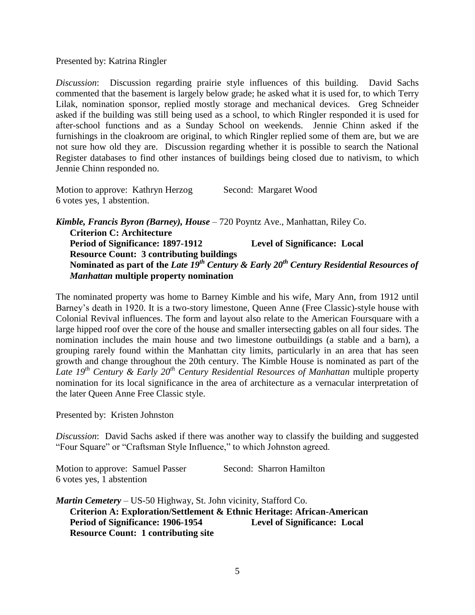Presented by: Katrina Ringler

*Discussion*: Discussion regarding prairie style influences of this building. David Sachs commented that the basement is largely below grade; he asked what it is used for, to which Terry Lilak, nomination sponsor, replied mostly storage and mechanical devices. Greg Schneider asked if the building was still being used as a school, to which Ringler responded it is used for after-school functions and as a Sunday School on weekends. Jennie Chinn asked if the furnishings in the cloakroom are original, to which Ringler replied some of them are, but we are not sure how old they are. Discussion regarding whether it is possible to search the National Register databases to find other instances of buildings being closed due to nativism, to which Jennie Chinn responded no.

| Motion to approve: Kathryn Herzog | Second: Margaret Wood |
|-----------------------------------|-----------------------|
| 6 votes yes, 1 abstention.        |                       |

*Kimble, Francis Byron (Barney), House* – 720 Poyntz Ave., Manhattan, Riley Co. **Criterion C: Architecture Period of Significance: 1897-1912 Level of Significance: Local Resource Count: 3 contributing buildings Nominated as part of the** *Late 19th Century & Early 20th Century Residential Resources of Manhattan* **multiple property nomination**

The nominated property was home to Barney Kimble and his wife, Mary Ann, from 1912 until Barney's death in 1920. It is a two-story limestone, Queen Anne (Free Classic)-style house with Colonial Revival influences. The form and layout also relate to the American Foursquare with a large hipped roof over the core of the house and smaller intersecting gables on all four sides. The nomination includes the main house and two limestone outbuildings (a stable and a barn), a grouping rarely found within the Manhattan city limits, particularly in an area that has seen growth and change throughout the 20th century. The Kimble House is nominated as part of the *Late 19 th Century & Early 20th Century Residential Resources of Manhattan* multiple property nomination for its local significance in the area of architecture as a vernacular interpretation of the later Queen Anne Free Classic style.

Presented by: Kristen Johnston

*Discussion*: David Sachs asked if there was another way to classify the building and suggested "Four Square" or "Craftsman Style Influence," to which Johnston agreed.

Motion to approve: Samuel Passer Second: Sharron Hamilton 6 votes yes, 1 abstention

*Martin Cemetery* – US-50 Highway, St. John vicinity, Stafford Co. **Criterion A: Exploration/Settlement & Ethnic Heritage: African-American Period of Significance: 1906-1954 Level of Significance: Local Resource Count: 1 contributing site**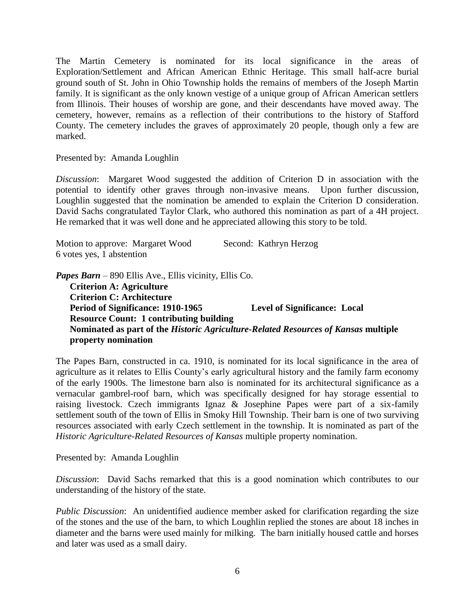The Martin Cemetery is nominated for its local significance in the areas of Exploration/Settlement and African American Ethnic Heritage. This small half-acre burial ground south of St. John in Ohio Township holds the remains of members of the Joseph Martin family. It is significant as the only known vestige of a unique group of African American settlers from Illinois. Their houses of worship are gone, and their descendants have moved away. The cemetery, however, remains as a reflection of their contributions to the history of Stafford County. The cemetery includes the graves of approximately 20 people, though only a few are marked.

Presented by: Amanda Loughlin

*Discussion*: Margaret Wood suggested the addition of Criterion D in association with the potential to identify other graves through non-invasive means. Upon further discussion, Loughlin suggested that the nomination be amended to explain the Criterion D consideration. David Sachs congratulated Taylor Clark, who authored this nomination as part of a 4H project. He remarked that it was well done and he appreciated allowing this story to be told.

| Motion to approve: Margaret Wood | Second: Kathryn Herzog |
|----------------------------------|------------------------|
| 6 votes yes, 1 abstention        |                        |

*Papes Barn* – 890 Ellis Ave., Ellis vicinity, Ellis Co.

**Criterion A: Agriculture Criterion C: Architecture Period of Significance: 1910-1965 Level of Significance: Local Resource Count: 1 contributing building Nominated as part of the** *Historic Agriculture-Related Resources of Kansas* **multiple property nomination**

The Papes Barn, constructed in ca. 1910, is nominated for its local significance in the area of agriculture as it relates to Ellis County's early agricultural history and the family farm economy of the early 1900s. The limestone barn also is nominated for its architectural significance as a vernacular gambrel-roof barn, which was specifically designed for hay storage essential to raising livestock. Czech immigrants Ignaz & Josephine Papes were part of a six-family settlement south of the town of Ellis in Smoky Hill Township. Their barn is one of two surviving resources associated with early Czech settlement in the township. It is nominated as part of the *Historic Agriculture-Related Resources of Kansas* multiple property nomination.

Presented by: Amanda Loughlin

*Discussion*: David Sachs remarked that this is a good nomination which contributes to our understanding of the history of the state.

*Public Discussion*: An unidentified audience member asked for clarification regarding the size of the stones and the use of the barn, to which Loughlin replied the stones are about 18 inches in diameter and the barns were used mainly for milking. The barn initially housed cattle and horses and later was used as a small dairy.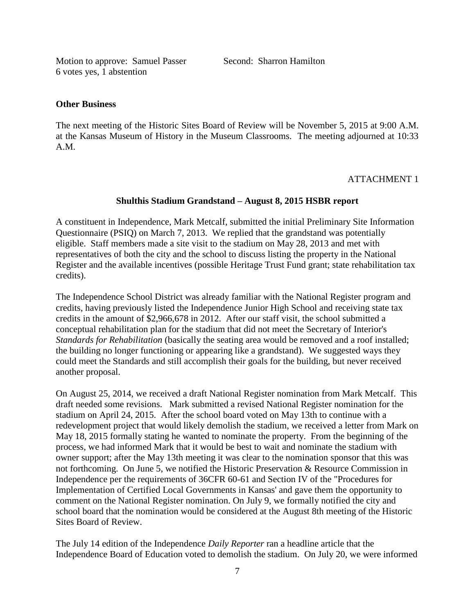Motion to approve: Samuel Passer Second: Sharron Hamilton 6 votes yes, 1 abstention

#### **Other Business**

The next meeting of the Historic Sites Board of Review will be November 5, 2015 at 9:00 A.M. at the Kansas Museum of History in the Museum Classrooms. The meeting adjourned at 10:33 A.M.

# ATTACHMENT 1

# **Shulthis Stadium Grandstand – August 8, 2015 HSBR report**

A constituent in Independence, Mark Metcalf, submitted the initial Preliminary Site Information Questionnaire (PSIQ) on March 7, 2013. We replied that the grandstand was potentially eligible. Staff members made a site visit to the stadium on May 28, 2013 and met with representatives of both the city and the school to discuss listing the property in the National Register and the available incentives (possible Heritage Trust Fund grant; state rehabilitation tax credits).

The Independence School District was already familiar with the National Register program and credits, having previously listed the Independence Junior High School and receiving state tax credits in the amount of \$2,966,678 in 2012. After our staff visit, the school submitted a conceptual rehabilitation plan for the stadium that did not meet the Secretary of Interior's *Standards for Rehabilitation* (basically the seating area would be removed and a roof installed; the building no longer functioning or appearing like a grandstand). We suggested ways they could meet the Standards and still accomplish their goals for the building, but never received another proposal.

On August 25, 2014, we received a draft National Register nomination from Mark Metcalf. This draft needed some revisions. Mark submitted a revised National Register nomination for the stadium on April 24, 2015. After the school board voted on May 13th to continue with a redevelopment project that would likely demolish the stadium, we received a letter from Mark on May 18, 2015 formally stating he wanted to nominate the property. From the beginning of the process, we had informed Mark that it would be best to wait and nominate the stadium with owner support; after the May 13th meeting it was clear to the nomination sponsor that this was not forthcoming. On June 5, we notified the Historic Preservation & Resource Commission in Independence per the requirements of 36CFR 60-61 and Section IV of the "Procedures for Implementation of Certified Local Governments in Kansas' and gave them the opportunity to comment on the National Register nomination. On July 9, we formally notified the city and school board that the nomination would be considered at the August 8th meeting of the Historic Sites Board of Review.

The July 14 edition of the Independence *Daily Reporter* ran a headline article that the Independence Board of Education voted to demolish the stadium. On July 20, we were informed